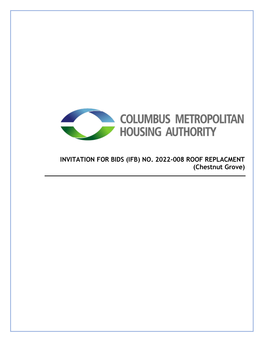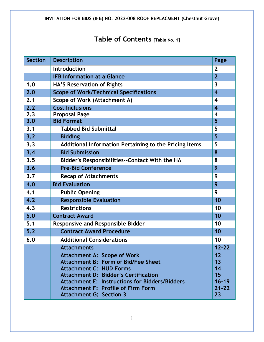# **Table of Contents** [**Table No. 1]**

| <b>Section</b> | <b>Description</b><br>Page                             |                         |  |  |  |
|----------------|--------------------------------------------------------|-------------------------|--|--|--|
|                | <b>Introduction</b>                                    |                         |  |  |  |
|                | <b>IFB Information at a Glance</b>                     |                         |  |  |  |
| 1.0            | HA'S Reservation of Rights                             |                         |  |  |  |
| 2.0            | <b>Scope of Work/Technical Specifications</b>          | $\overline{4}$          |  |  |  |
| 2.1            | Scope of Work (Attachment A)                           | $\overline{\mathbf{4}}$ |  |  |  |
| 2.2            | <b>Cost Inclusions</b>                                 | $\overline{\mathbf{4}}$ |  |  |  |
| 2.3            | <b>Proposal Page</b>                                   | $\overline{\mathbf{4}}$ |  |  |  |
| 3.0            | <b>Bid Format</b>                                      | 5                       |  |  |  |
| 3.1            | <b>Tabbed Bid Submittal</b>                            | 5                       |  |  |  |
| 3.2            | <b>Bidding</b>                                         | 5                       |  |  |  |
| 3.3            | Additional Information Pertaining to the Pricing Items | 5                       |  |  |  |
| 3.4            | <b>Bid Submission</b>                                  | 8                       |  |  |  |
| 3.5            | Bidder's Responsibilities--Contact With the HA         |                         |  |  |  |
| 3.6            | <b>Pre-Bid Conference</b>                              |                         |  |  |  |
| 3.7            | <b>Recap of Attachments</b>                            | 9                       |  |  |  |
| 4.0            | <b>Bid Evaluation</b>                                  | 9                       |  |  |  |
| 4.1            | <b>Public Opening</b>                                  |                         |  |  |  |
| 4.2            | <b>Responsible Evaluation</b>                          |                         |  |  |  |
| 4.3            | <b>Restrictions</b>                                    |                         |  |  |  |
| 5.0            | <b>Contract Award</b>                                  | 10                      |  |  |  |
| 5.1            | <b>Responsive and Responsible Bidder</b>               |                         |  |  |  |
| $5.2$          | <b>Contract Award Procedure</b>                        |                         |  |  |  |
| 6.0            | <b>Additional Considerations</b>                       | 10                      |  |  |  |
|                | <b>Attachments</b>                                     | $12 - 22$               |  |  |  |
|                | <b>Attachment A: Scope of Work</b>                     | 12                      |  |  |  |
|                | <b>Attachment B: Form of Bid/Fee Sheet</b>             | 13                      |  |  |  |
|                | <b>Attachment C: HUD Forms</b>                         | 14                      |  |  |  |
|                | <b>Attachment D: Bidder's Certification</b>            | 15                      |  |  |  |
|                | Attachment E: Instructions for Bidders/Bidders         |                         |  |  |  |
|                | <b>Attachment F: Profile of Firm Form</b><br>$21 - 22$ |                         |  |  |  |
|                | <b>Attachment G: Section 3</b>                         | 23                      |  |  |  |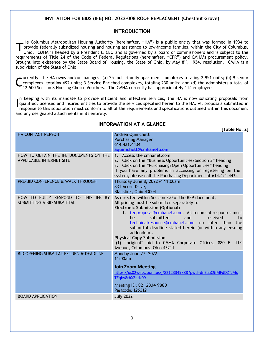#### **INTRODUCTION**

He Columbus Metropolitan Housing Authority (hereinafter, "HA") is a public entity that was formed in 1934 to provide federally subsidized housing and housing assistance to low-income families, within the City of Columbus, Ohio. CMHA is headed by a President & CEO and is governed by a board of commissioners and is subject to the requirements of Title 24 of the Code of Federal Regulations (hereinafter, "CFR") and CMHA's procurement policy. Brought into existence by the State Board of Housing, the State of Ohio, by May  $8^{th}$ , 1934, resolution. CMHA is a subdivision of the State of Ohio T

urrently, the HA owns and/or manages: (a) 25 multi-family apartment complexes totaling 2,951 units; (b) 9 senior complexes, totaling 692 units; 3 Service Enriched complexes, totaling 230 units; and (d) the administers a total of 12,500 Section 8 Housing Choice Vouchers. The CMHA currently has approximately 114 employees. C

n keeping with its mandate to provide efficient and effective services, the HA is now soliciting proposals from qualified, licensed and insured entities to provide the services specified herein to the HA. All proposals submitted in response to this solicitation must conform to all of the requirements and specifications outlined within this document and any designated attachments in its entirety. I

|                                                                                | [Table No. 2]                                                                                                                                                                                                                                                                                                                                                                                                                                                                                                      |
|--------------------------------------------------------------------------------|--------------------------------------------------------------------------------------------------------------------------------------------------------------------------------------------------------------------------------------------------------------------------------------------------------------------------------------------------------------------------------------------------------------------------------------------------------------------------------------------------------------------|
| <b>HA CONTACT PERSON</b>                                                       | <b>Andrea Quinichett</b><br><b>Purchasing Manager</b><br>614.421.4434<br>aquinichett@cmhanet.com                                                                                                                                                                                                                                                                                                                                                                                                                   |
| HOW TO OBTAIN THE IFB DOCUMENTS ON THE<br><b>APPLICABLE INTERNET SITE</b>      | 1. Access the cmhanet.com<br>2. Click on the "Business Opportunities/Section 3" heading<br>3. Click on the "Purchasing/Open Opportunities" heading<br>If you have any problems in accessing or registering on the<br>system, please call the Purchasing Department at 614.421.4434                                                                                                                                                                                                                                 |
| PRE-BID CONFERENCE & WALK THROUGH                                              | Thursday June 8, 2022 @ 11:00am<br>831 Acorn Drive,<br>Blacklick, Ohio 43004                                                                                                                                                                                                                                                                                                                                                                                                                                       |
| HOW TO FULLY RESPOND TO<br>THIS IFB<br><b>BY</b><br>SUBMITTING A BID SUBMITTAL | As directed within Section 3.0 of the RFP document,<br>All pricing must be submitted separately to<br><b>Electronic Submission (Optional)</b><br>1. feeproposal@cmhanet.com. All technical responses must<br>submitted<br>he<br>and<br>received<br>to<br>technicalresponse@cmhanet.com no later than the<br>submittal deadline stated herein (or within any ensuing<br>addendum).<br><b>Physical Copy Submission</b><br>(1) "original" bid to CMHA Corporate Offices, 880 E. 11th<br>Avenue, Columbus, Ohio 43211. |
| BID OPENING SUBMITAL RETURN & DEADLINE                                         | Monday June 27, 2022<br>11:00am<br><b>Join Zoom Meeting</b><br>https://us02web.zoom.us/j/82123349888?pwd=dnBaaC9iMFdDZTJMd<br>TZqby8rbXZhdz09<br>Meeting ID: 821 2334 9888<br>Passcode: 125312                                                                                                                                                                                                                                                                                                                     |
| <b>BOARD APPLICATION</b>                                                       | <b>July 2022</b>                                                                                                                                                                                                                                                                                                                                                                                                                                                                                                   |

## **INFORMATION AT A GLANCE**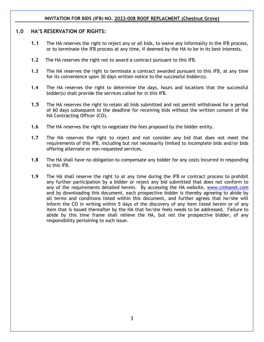#### **1.0 HA'S RESERVATION OF RIGHTS:**

- **1.1** The HA reserves the right to reject any or all bids, to waive any informality in the IFB process, or to terminate the IFB process at any time, if deemed by the HA to be in its best interests.
- **1.2** The HA reserves the right not to award a contract pursuant to this IFB.
- **1.3** The HA reserves the right to terminate a contract awarded pursuant to this IFB, at any time for its convenience upon 30 days written notice to the successful bidder(s).
- **1.4** The HA reserves the right to determine the days, hours and locations that the successful bidder(s) shall provide the services called for in this IFB.
- **1.5** The HA reserves the right to retain all bids submitted and not permit withdrawal for a period of 60 days subsequent to the deadline for receiving bids without the written consent of the HA Contracting Officer (CO).
- **1.6** The HA reserves the right to negotiate the fees proposed by the bidder entity.
- **1.7** The HA reserves the right to reject and not consider any bid that does not meet the requirements of this IFB, including but not necessarily limited to incomplete bids and/or bids offering alternate or non-requested services.
- **1.8** The HA shall have no obligation to compensate any bidder for any costs incurred in responding to this IFB.
- **1.9** The HA shall reserve the right to at any time during the IFB or contract process to prohibit any further participation by a bidder or reject any bid submitted that does not conform to any of the requirements detailed herein. By accessing the HA website, [www.cmhanet.com](http://www.cmhanet.com/) and by downloading this document, each prospective bidder is thereby agreeing to abide by all terms and conditions listed within this document, and further agrees that he/she will inform the CO in writing within 5 days of the discovery of any item listed herein or of any item that is issued thereafter by the HA that he/she feels needs to be addressed. Failure to abide by this time frame shall relieve the HA, but not the prospective bidder, of any responsibility pertaining to such issue.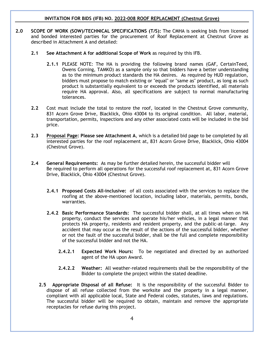- **2.0 SCOPE OF WORK (SOW)/TECHNICAL SPECIFICATIONS (T/S):** The CMHA is seeking bids from licensed and bonded interested parties for the procurement of Roof Replacement at Chestnut Grove as described in Attachment A and detailed:
	- **2.1 See Attachment A for additional Scope of Work** as required by this IFB.
		- **2.1.1** PLEASE NOTE: The HA is providing the following brand names (GAF, CertainTeed, Owens Corning, TAMKO) as a sample only so that bidders have a better understanding as to the minimum product standards the HA desires. As required by HUD regulation, bidders must propose to match existing or "equal" or "same as" product, as long as such product is substantially equivalent to or exceeds the products identified, all materials require HA approval. Also, all specifications are subject to normal manufacturing tolerances.
	- **2.2** Cost must include the total to restore the roof, located in the Chestnut Grove community, 831 Acorn Grove Drive, Blacklick, Ohio 43004 to its original condition. All labor, material, transportation, permits, inspections and any other associated costs will be included in the bid price.
	- **2.3 Proposal Page: Please see Attachment A**, which is a detailed bid page to be completed by all interested parties for the roof replacement at, 831 Acorn Grove Drive, Blacklick, Ohio 43004 (Chestnut Grove).
	- **2.4 General Requirements:** As may be further detailed herein, the successful bidder will Be required to perform all operations for the successful roof replacement at, 831 Acorn Grove Drive, Blacklick, Ohio 43004 (Chestnut Grove).
		- **2.4.1 Proposed Costs All-inclusive:** of all costs associated with the services to replace the roofing at the above-mentioned location, including labor, materials, permits, bonds, warranties.
		- **2.4.2 Basic Performance Standards:** The successful bidder shall, at all times when on HA property, conduct the services and operate his/her vehicles, in a legal manner that protects HA property, residents and resident property, and the public-at-large. Any accident that may occur as the result of the actions of the successful bidder, whether or not the fault of the successful bidder, shall be the full and complete responsibility of the successful bidder and not the HA.
			- **2.4.2.1 Expected Work Hours:** To be negotiated and directed by an authorized agent of the HA upon Award.
			- **2.4.2.2 Weather:** All weather-related requirements shall be the responsibility of the Bidder to complete the project within the stated deadline.
		- **2.5 Appropriate Disposal of all Refuse:** It is the responsibility of the successful Bidder to dispose of all refuse collected from the worksite and the property in a legal manner, compliant with all applicable local, State and Federal codes, statutes, laws and regulations. The successful bidder will be required to obtain, maintain and remove the appropriate receptacles for refuse during this project.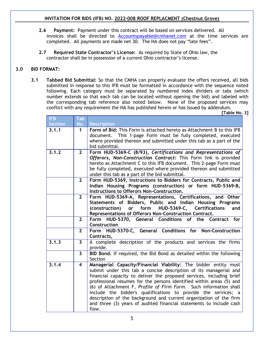- **2.6 Payment:** Payment under this contract will be based on services delivered. All invoices shall be directed to [Accountspayable@cmhanet.com](mailto:Accountspayable@cmhanet.com) at the time services are completed. All payments are made net 30. The HA does not pay "late fees".
- **2.7 Required State Contractor's License:** As required by State of Ohio law, the contractor shall be in possession of a current Ohio contractor's license.

## **3.0 BID FORMAT:**

**3.1 Tabbed Bid Submittal:** So that the CMHA can properly evaluate the offers received, all bids submitted in response to this IFB must be formatted in accordance with the sequence noted following. Each category must be separated by numbered index dividers or tabs (which number extends so that each tab can be located without opening the bid) and labeled with the corresponding tab reference also noted below. None of the proposed services may conflict with any requirement the HA has published herein or has issued by addendum.

**[Table No. 3]**

| <b>IFB</b>     | Tab                     |                                                                           |  |  |
|----------------|-------------------------|---------------------------------------------------------------------------|--|--|
| <b>Section</b> | No.                     | <b>Description</b>                                                        |  |  |
| 3.1.1          | 1                       | Form of Bid: This Form is attached hereto as Attachment B to this IFB     |  |  |
|                |                         | document. This 1-page Form must be fully completed, executed              |  |  |
|                |                         | where provided thereon and submitted under this tab as a part of the      |  |  |
|                |                         | bid submittal.                                                            |  |  |
| 3.1.2          | $\overline{2}$          | Form HUD-5369-C (8/93), Certifications and Representations of             |  |  |
|                |                         | Offerors, Non-Construction Contract: This Form link is provided           |  |  |
|                |                         | hereto as Attachment C to this IFB document. This 2-page Form must        |  |  |
|                |                         | be fully completed, executed where provided thereon and submitted         |  |  |
|                |                         | under this tab as a part of the bid submittal.                            |  |  |
|                | $\overline{2}$          | Form HUD-5369, Instructions to Bidders for Contracts, Public and          |  |  |
|                |                         | Indian Housing Programs (construction) or form HUD-5369-B,                |  |  |
|                |                         | Instructions to Offerors Non-Construction.                                |  |  |
|                | $\overline{2}$          | Form HUD-5369-A, Representations, Certifications, and Other               |  |  |
|                |                         | Statements of Bidders, Public and Indian Housing Programs                 |  |  |
|                |                         | or form HUD-5369-C, Certifications<br>(construction)<br>and               |  |  |
|                |                         | Representations of Offerors Non-Construction Contract.                    |  |  |
|                | $\overline{2}$          | Form HUD-5370, General Conditions of the Contract<br>for                  |  |  |
|                |                         | Construction                                                              |  |  |
|                | $\overline{2}$          | Form HUD-5370-C, General Conditions for Non-Construction                  |  |  |
| 3.1.3          | $\overline{3}$          | Contracts,                                                                |  |  |
|                |                         | A complete description of the products and services the firms<br>provide. |  |  |
|                | $\mathbf{3}$            | BID Bond. If required, the Bid Bond as detailed within the following      |  |  |
|                |                         | Section                                                                   |  |  |
| 3.1.4          | $\overline{\mathbf{4}}$ | Managerial Capacity/Financial Viability: The bidder entity must           |  |  |
|                |                         | submit under this tab a concise description of its managerial and         |  |  |
|                |                         | financial capacity to deliver the proposed services, including brief      |  |  |
|                |                         | professional resumes for the persons identified within areas (5) and      |  |  |
|                |                         | (6) of Attachment F, Profile of Firm Form. Such information shall         |  |  |
|                |                         | include the bidder's qualifications to provide the services; a            |  |  |
|                |                         | description of the background and current organization of the firm        |  |  |
|                |                         | and three (3) years of audited financial statements to include cash       |  |  |
|                |                         | flow.                                                                     |  |  |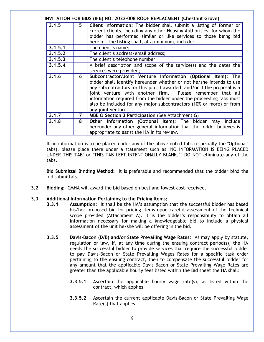| INVITATION FOR BIDS (IFB) NO. 2022-008 ROOF REPLACMENT (Chestnut Grove) |                |                                                                                                                                                                                                                                                                                                                                                                                                                                                   |  |
|-------------------------------------------------------------------------|----------------|---------------------------------------------------------------------------------------------------------------------------------------------------------------------------------------------------------------------------------------------------------------------------------------------------------------------------------------------------------------------------------------------------------------------------------------------------|--|
| 3.1.5                                                                   | 5.             | Client Information: The bidder shall submit a listing of former or<br>current clients, including any other Housing Authorities, for whom the<br>bidder has performed similar or like services to those being bid<br>herein. The listing shall, at a minimum, include:                                                                                                                                                                             |  |
| 3.1.5.1                                                                 |                | The client's name;                                                                                                                                                                                                                                                                                                                                                                                                                                |  |
| 3.1.5.2                                                                 |                | The client's address/email address;                                                                                                                                                                                                                                                                                                                                                                                                               |  |
| 3.1.5.3                                                                 |                | The client's telephone number                                                                                                                                                                                                                                                                                                                                                                                                                     |  |
| 3.1.5.4                                                                 |                | A brief description and scope of the service(s) and the dates the<br>services were provided;                                                                                                                                                                                                                                                                                                                                                      |  |
| 3.1.6                                                                   | 6              | Subcontractor/Joint Venture Information (Optional Item): The<br>bidder shall identify hereunder whether or not he/she intends to use<br>any subcontractors for this job, if awarded, and/or if the proposal is a<br>joint venture with another firm. Please remember that all<br>information required from the bidder under the proceeding tabs must<br>also be included for any major subcontractors (10% or more) or from<br>any joint venture. |  |
| 3.1.7                                                                   | $\overline{7}$ | MBE & Section 3 Participation (See Attachment G)                                                                                                                                                                                                                                                                                                                                                                                                  |  |
| 3.1.8                                                                   | 8              | Other Information (Optional Item): The bidder may include<br>hereunder any other general information that the bidder believes is<br>appropriate to assist the HA in its review.                                                                                                                                                                                                                                                                   |  |

If no information is to be placed under any of the above noted tabs (especially the "Optional" tabs), please place there under a statement such as "NO INFORMATION IS BEING PLACED UNDER THIS TAB" or "THIS TAB LEFT INTENTIONALLY BLANK." DO NOT eliminate any of the tabs.

**Bid Submittal Binding Method:** It is preferable and recommended that the bidder bind the bid submittals.

**3.2 Bidding:** CMHA will award the bid based on best and lowest cost received.

#### **3.3 Additional Information Pertaining to the Pricing Items:**

- **3.3.1 Assumption:** It shall be the HA's assumption that the successful bidder has based his/her proposed bid for pricing items upon careful assessment of the technical scope provided (Attachment A). It is the bidder's responsibility to obtain all information necessary for making a knowledgeable bid to include a physical assessment of the unit he/she will be offering in the bid.
- **3.3.5 Davis-Bacon (D/B) and/or State Prevailing Wage Rates:** As may apply by statute, regulation or law, if, at any time during the ensuing contract period(s), the HA needs the successful bidder to provide services that require the successful bidder to pay Davis-Bacon or State Prevailing Wages Rates for a specific task order pertaining to the ensuing contract, then to compensate the successful bidder for any amount that the applicable Davis-Bacon or State Prevailing Wage Rates are greater than the applicable hourly fees listed within the Bid sheet the HA shall:
	- **3.3.5.1** Ascertain the applicable hourly wage rate(s), as listed within the contract, which applies.
	- **3.3.5.2** Ascertain the current applicable Davis-Bacon or State Prevailing Wage Rate(s) that applies.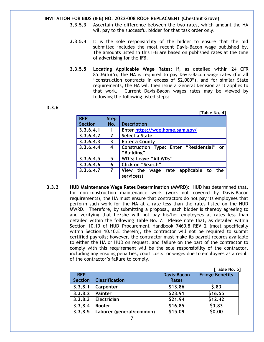- **3.3.5.3** Ascertain the difference between the two rates, which amount the HA will pay to the successful bidder for that task order only.
- **3.3.5.4** It is the sole responsibility of the bidder to ensure that the bid submitted includes the most recent Davis-Bacon wage published by. The amounts listed in this IFB are based on published rates at the time of advertising for the IFB.
- **3.3.5.5 Locating Applicable Wage Rates:** If, as detailed within 24 CFR 85.36(h)(5), the HA is required to pay Davis-Bacon wage rates (for all "construction contracts in excess of \$2,000"), and for similar State requirements, the HA will then issue a General Decision as it applies to that work. Current Davis-Bacon wages rates may be viewed by following the following listed steps:

#### **3.3.6**

 **[Table No. 4]**

| <b>RFP</b>     | <b>Step</b>             |                                            |
|----------------|-------------------------|--------------------------------------------|
| <b>Section</b> | No.                     | <b>Description</b>                         |
| 3.3.6.4.1      | $\mathbf 1$             | Enter https://wdolhome.sam.gov/            |
| 3.3.6.4.2      | $\overline{2}$          | Select a State                             |
| 3.3.6.4.3      | $\overline{\mathbf{3}}$ | <b>Enter a County</b>                      |
| 3.3.6.4.4      | 4                       | Construction Type: Enter "Residential" or  |
|                |                         | "Building"                                 |
| 3.3.6.4.5      | 5                       | WD's: Leave "All WDs"                      |
| 3.3.6.4.6      | 6                       | Click on "Search"                          |
| 3.3.6.4.7      | $\overline{7}$          | rate applicable to the<br>View the<br>wage |
|                |                         | service(s)                                 |

**3.3.2 HUD Maintenance Wage Rates Determination (MWRD):** HUD has determined that, for non-construction maintenance work (work not covered by Davis-Bacon requirements), the HA must ensure that contractors do not pay its employees that perform such work for the HA at a rate less than the rates listed on the HUD MWRD. Therefore, by submitting a proposal, each bidder is thereby agreeing to and verifying that he/she will not pay his/her employees at rates less than detailed within the following Table No. 7. Please note that, as detailed within Section 10.10 of HUD Procurement Handbook 7460.8 REV 2 (most specifically within Section 10.10.E therein), the contractor will not be required to submit certified payrolls; however, the contractor must make its payroll records available to either the HA or HUD on request, and failure on the part of the contractor to comply with this requirement will be the sole responsibility of the contractor, including any ensuing penalties, court costs, or wages due to employees as a result of the contractor's failure to comply.

|                              |                          |                                    | [Table No. 5]          |  |
|------------------------------|--------------------------|------------------------------------|------------------------|--|
| <b>RFP</b><br><b>Section</b> | <b>Classification</b>    | <b>Davis-Bacon</b><br><b>Rates</b> | <b>Fringe Benefits</b> |  |
| 3.3.8.1                      | Carpenter                | \$13.86                            | 5.83                   |  |
| 3.3.8.2                      | <b>Painter</b>           | \$23.91                            | \$16.55                |  |
| 3.3.8.3                      | Electrician              | \$21.94                            | \$12.42                |  |
| 3.3.8.4                      | <b>Roofer</b>            | \$16.85                            | \$3.83                 |  |
| 3.3.8.5                      | Laborer (general/common) | \$15.09                            | \$0.00                 |  |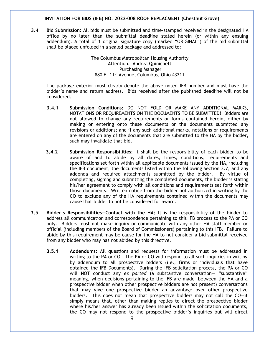**3.4 Bid Submission:** All bids must be submitted and time-stamped received in the designated HA office by no later than the submittal deadline stated herein (or within any ensuing addendum). A total of 1 original signature copy (marked "ORIGINAL") of the bid submittal shall be placed unfolded in a sealed package and addressed to:

> The Columbus Metropolitan Housing Authority Attention: Andrea Quinichett Purchasing Manager 880 E. 11th Avenue, Columbus, Ohio 43211

The package exterior must clearly denote the above noted IFB number and must have the bidder's name and return address. Bids received after the published deadline will not be considered.

- **3.4.1 Submission Conditions:** DO NOT FOLD OR MAKE ANY ADDITIONAL MARKS, NOTATIONS OR REQUIREMENTS ON THE DOCUMENTS TO BE SUBMITTED! Bidders are not allowed to change any requirements or forms contained herein, either by making or entering onto these documents or the documents submitted any revisions or additions; and if any such additional marks, notations or requirements are entered on any of the documents that are submitted to the HA by the bidder, such may invalidate that bid.
- **3.4.2 Submission Responsibilities:** It shall be the responsibility of each bidder to be aware of and to abide by all dates, times, conditions, requirements and specifications set forth within all applicable documents issued by the HA, including the IFB document, the documents listed within the following Section 3.7, and any addenda and required attachments submitted by the bidder. By virtue of completing, signing and submitting the completed documents, the bidder is stating his/her agreement to comply with all conditions and requirements set forth within those documents. Written notice from the bidder not authorized in writing by the CO to exclude any of the HA requirements contained within the documents may cause that bidder to not be considered for award.
- **3.5 Bidder's Responsibilities—Contact with the HA:** It is the responsibility of the bidder to address all communication and correspondence pertaining to this IFB process to the PA or CO only. Bidders must not make inquiry or communicate with any other HA staff member or official (including members of the Board of Commissioners) pertaining to this IFB. Failure to abide by this requirement may be cause for the HA to not consider a bid submittal received from any bidder who may has not abided by this directive.
	- **3.5.1 Addendums:** All questions and requests for information must be addressed in writing to the PA or CO. The PA or CO will respond to all such inquiries in writing by addendum to all prospective bidders (i.e., firms or individuals that have obtained the IFB Documents). During the IFB solicitation process, the PA or CO will NOT conduct any *ex parted* (a substantive conversation— "substantive" meaning, when decisions pertaining to the IFB are made—between the HA and a prospective bidder when other prospective bidders are not present) conversations that may give one prospective bidder an advantage over other prospective bidders. This does not mean that prospective bidders may not call the CO—it simply means that, other than making replies to direct the prospective bidder where his/her answer has already been issued within the solicitation documents, the CO may not respond to the prospective bidder's inquiries but will direct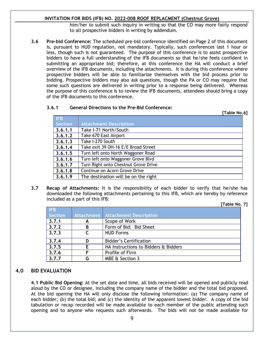him/her to submit such inquiry in writing so that the CO may more fairly respond to all prospective bidders in writing by addendum.

**3.6 Pre-bid Conference:** The scheduled pre-bid conference identified on Page 2 of this document is, pursuant to HUD regulation, not mandatory. Typically, such conferences last 1 hour or less, though such is not guaranteed. The purpose of this conference is to assist prospective bidders to have a full understanding of the IFB documents so that he/she feels confident in submitting an appropriate bid; therefore, at this conference the HA will conduct a brief overview of the IFB documents, including the attachments. It is during this conference where prospective bidders will be able to familiarize themselves with the bid process prior to bidding. Prospective bidders may also ask questions, though the PA or CO may require that some such questions are delivered in writing prior to a response being delivered. Whereas the purpose of this conference is to review the IFB documents, attendees should bring a copy of the IFB documents to this conference.

## **3.6.1 General Directions to the Pre-Bid Conference:**

|            | [Table No.6]                         |
|------------|--------------------------------------|
| <b>IFB</b> |                                      |
| Section    | <b>Attachment Description</b>        |
| 3.6.1.1    | Take I-71 North/South                |
| 3.6.1.2    | Take 670 East Airport                |
| 3.6.1.3    | Take I-270 South                     |
| 3.6.1.4    | Take exit 39 OH-16 E/E Broad Street  |
| 3.6.1.5    | Turn left onto North Waggoner Road   |
| 3.6.1.6    | Turn left onto Waggoner Grove Blvd   |
| 3.6.1.7    | Turn Right onto Chestnut Grove Drive |
| 3.6.1.8    | Continue on Acorn Grove Drive        |
| 3.6.1.9    | The destination will be on the right |

**3.7 Recap of Attachments:** It is the responsibility of each bidder to verify that he/she has downloaded the following attachments pertaining to this IFB, which are hereby by reference included as a part of this IFB:

**[Table No. 7]**

| <b>IFB</b> |   |                                      |  |
|------------|---|--------------------------------------|--|
| Section    |   | Attachment   Attachment Description  |  |
| 3, 7, 1    | А | Scope of Work                        |  |
| 3.7.2      | В | Form of Bid: Bid Sheet               |  |
| 3.7.3      |   | <b>HUD Forms</b>                     |  |
| 3.7.4      | D | <b>Bidder's Certification</b>        |  |
| 3.7.5      |   | HA Instructions to Bidders & Bidders |  |
| 3.7.6      |   | Profile of Firm                      |  |
| 3.7.7      |   | <b>MBE &amp; Section 3</b>           |  |

## **4.0 BID EVALUATION**

**4.1 Public Bid Opening:** At the set date and time, all bids received will be opened and publicly read aloud by the CO or designee, including the company name of the bidder and the total bid proposed. At the bid opening the HA will only disclose the following information: (a) The company name of each bidder; (b) the total bid; and (c) the identity of the apparent lowest bidder. A copy of the bid tabulation or recap recorded will be made available to each member of the public attending such opening and to anyone who requests such afterwards. The bids will not be made available for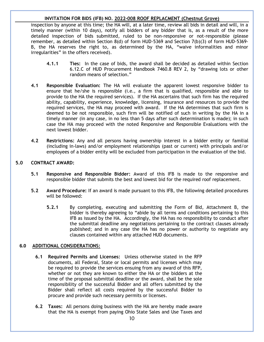inspection by anyone at this time; the HA will, at a later time, review all bids in detail and will, in a timely manner (within 10 days), notify all bidders of any bidder that is, as a result of the more detailed inspection of bids submitted, ruled to be non-responsive or not-responsible (please remember, as detailed within Section 8(d) of form HUD-5369 and Section 7(b)(3) of form HUD-5369- B, the HA reserves the right to, as determined by the HA, "waive informalities and minor irregularities" in the offers received).

- **4.1.1 Ties:** In the case of bids, the award shall be decided as detailed within Section 6.12.C of HUD Procurement Handbook 7460.8 REV 2, by "drawing lots or other random means of selection."
- **4.1 Responsible Evaluation:** The HA will evaluate the apparent lowest responsive bidder to ensure that he/she is responsible (i.e., a firm that is qualified, responsible and able to provide to the HA the required services). If the HA ascertains that such firm has the required ability, capability, experience, knowledge, licensing, insurance and resources to provide the required services, the HA may proceed with award. If the HA determines that such firm is deemed to be not responsible, such firm will be notified of such in writing by the HA in a timely manner (in any case, in no less than 5 days after such determination is made); in such case the HA may proceed with the noted Responsive and Responsible Evaluations with the next lowest bidder.
- **4.2 Restrictions:** Any and all persons having ownership interest in a bidder entity or familial (including in-laws) and/or employment relationships (past or current) with principals and/or employees of a bidder entity will be excluded from participation in the evaluation of the bid.

#### **5.0 CONTRACT AWARD:**

- **5.1 Responsive and Responsible Bidder:** Award of this IFB is made to the responsive and responsible bidder that submits the best and lowest bid for the required roof replacement.
- **5.2 Award Procedure:** If an award is made pursuant to this IFB, the following detailed procedures will be followed:
	- **5.2.1** By completing, executing and submitting the Form of Bid, Attachment B, the bidder is thereby agreeing to "abide by all terms and conditions pertaining to this IFB as issued by the HA. Accordingly, the HA has no responsibility to conduct after the submittal deadline any negotiations pertaining to the contract clauses already published; and in any case the HA has no power or authority to negotiate any clauses contained within any attached HUD documents.

## **6.0 ADDITIONAL CONSIDERATIONS:**

- **6.1 Required Permits and Licenses:** Unless otherwise stated in the RFP documents, all Federal, State or local permits and licenses which may be required to provide the services ensuing from any award of this RFP, whether or not they are known to either the HA or the bidders at the time of the proposal submittal deadline or the award, shall be the sole responsibility of the successful Bidder and all offers submitted by the Bidder shall reflect all costs required by the successful Bidder to procure and provide such necessary permits or licenses.
- **6.2 Taxes:** All persons doing business with the HA are hereby made aware that the HA is exempt from paying Ohio State Sales and Use Taxes and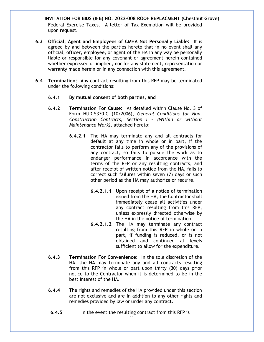Federal Exercise Taxes. A letter of Tax Exemption will be provided upon request.

- **6.3 Official, Agent and Employees of CMHA Not Personally Liable:** It is agreed by and between the parties hereto that in no event shall any official, officer, employee, or agent of the HA in any way be personally liable or responsible for any covenant or agreement herein contained whether expressed or implied, nor for any statement, representation or warranty made herein or in any connection with this agreement.
- **6.4 Termination:** Any contract resulting from this RFP may be terminated under the following conditions:
	- **6.4.1 By mutual consent of both parties, and**
	- **6.4.2 Termination For Cause:** As detailed within Clause No. 3 of Form HUD-5370-C (10/2006), *General Conditions for Non-Construction Contracts, Section I – (Within or without Maintenance Work),* attached hereto:
		- **6.4.2.1** The HA may terminate any and all contracts for default at any time in whole or in part, if the contractor fails to perform any of the provisions of any contract, so fails to pursue the work as to endanger performance in accordance with the terms of the RFP or any resulting contracts, and after receipt of written notice from the HA, fails to correct such failures within seven (7) days or such other period as the HA may authorize or require.
			- **6.4.2.1.1** Upon receipt of a notice of termination issued from the HA, the Contractor shall immediately cease all activities under any contract resulting from this RFP, unless expressly directed otherwise by the HA in the notice of termination.
			- **6.4.2.1.2** The HA may terminate any contract resulting from this RFP in whole or in part, if funding is reduced, or is not obtained and continued at levels sufficient to allow for the expenditure.
	- **6.4.3 Termination For Convenience:** In the sole discretion of the HA, the HA may terminate any and all contracts resulting from this RFP in whole or part upon thirty (30) days prior notice to the Contractor when it is determined to be in the best interest of the HA.
	- **6.4.4** The rights and remedies of the HA provided under this section are not exclusive and are in addition to any other rights and remedies provided by law or under any contract.
		- **6.4.5** In the event the resulting contract from this RFP is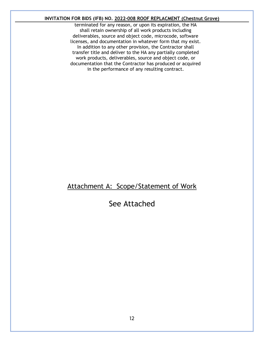terminated for any reason, or upon its expiration, the HA shall retain ownership of all work products including deliverables, source and object code, microcode, software licenses, and documentation in whatever form that my exist. In addition to any other provision, the Contractor shall transfer title and deliver to the HA any partially completed work products, deliverables, source and object code, or documentation that the Contractor has produced or acquired in the performance of any resulting contract.

# Attachment A: Scope/Statement of Work

# See Attached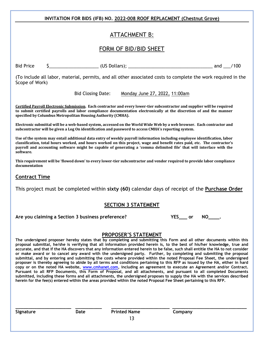## ATTACHMENT B:

## FORM OF BID/BID SHEET

Bid Price \$\_\_\_\_\_\_\_\_\_\_\_\_\_\_\_\_\_\_\_\_ (US Dollars); \_\_\_\_\_\_\_\_\_\_\_\_\_\_\_\_\_\_\_\_\_\_\_\_\_\_\_\_\_\_\_\_\_\_ and \_\_\_/100

(To include all labor, material, permits, and all other associated costs to complete the work required in the Scope of Work)

Bid Closing Date: Monday June 27, 2022, 11:00am

**Certified Payroll Electronic Submission. Each contractor and every lower-tier subcontractor and supplier will be required to submit certified payrolls and labor compliance documentation electronically at the discretion of and the manner specified by Columbus Metropolitan Housing Authority (CMHA).**

**Electronic submittal will be a web-based system, accessed on the World Wide Web by a web browser. Each contractor and subcontractor will be given a Log On identification and password to access CMHA's reporting system.**

**Use of the system may entail additional data entry of weekly payroll information including employee identification, labor classification, total hours worked, and hours worked on this project, wage and benefit rates paid, etc. The contractor's payroll and accounting software might be capable of generating a 'comma delimited file' that will interface with the software.**

**This requirement will be 'flowed down' to every lower-tier subcontractor and vendor required to provide labor compliance documentation**

## **Contract Time**

This project must be completed within **sixty (60)** calendar days of receipt of the **Purchase Order**

## **SECTION 3 STATEMENT**

#### Are you claiming a Section 3 business preference? **The MES** are NO and MC

#### **PROPOSER'S STATEMENT**

**The undersigned proposer hereby states that by completing and submitting this Form and all other documents within this proposal submittal, he/she is verifying that all information provided herein is, to the best of his/her knowledge, true and accurate, and that if the HA discovers that any information entered herein to be false, such shall entitle the HA to not consider or make award or to cancel any award with the undersigned party. Further, by completing and submitting the proposal submittal, and by entering and submitting the costs where provided within the noted Proposal Fee Sheet, the undersigned proposer is thereby agreeing to abide by all terms and conditions pertaining to this RFP as issued by the HA, either in hard copy or on the noted HA website, [www.cmhanet.com,](http://www.cmhanet.com/) including an agreement to execute an Agreement and/or Contract. Pursuant to all RFP Documents, this Form of Proposal, and all attachments, and pursuant to all completed Documents submitted, including these forms and all attachments, the undersigned proposes to supply the HA with the services described herein for the fee(s) entered within the areas provided within the noted Proposal Fee Sheet pertaining to this RFP.**

**\_\_\_\_\_\_\_\_\_\_\_\_\_\_\_\_\_\_\_\_\_ \_\_\_\_\_\_\_\_\_\_ \_\_\_\_\_\_\_\_\_\_\_\_\_\_\_\_\_\_\_\_\_\_ \_\_\_\_\_\_\_\_\_\_\_\_\_\_\_\_\_\_\_\_\_\_\_\_\_\_\_\_**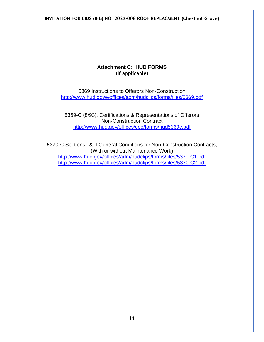## **Attachment C: HUD FORMS** (If applicable)

5369 Instructions to Offerors Non-Construction <http://www.hud.gove/offices/adm/hudclips/forms/files/5369.pdf>

5369-C (8/93), Certifications & Representations of Offerors Non-Construction Contract <http://www.hud.gov/offices/cpo/forms/hud5369c.pdf>

5370-C Sections I & II General Conditions for Non-Construction Contracts, (With or without Maintenance Work) <http://www.hud.gov/offices/adm/hudclips/forms/files/5370-C1.pdf> <http://www.hud.gov/offices/adm/hudclips/forms/files/5370-C2.pdf>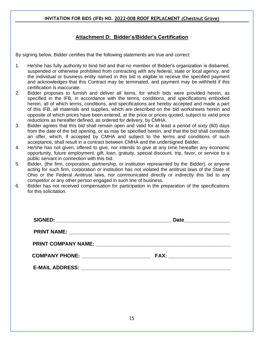## **Attachment D: Bidder's/Bidder's Certification**

By signing below, Bidder certifies that the following statements are true and correct:

- 1. He/she has fully authority to bind bid and that no member of Bidder's organization is disbarred, suspended or otherwise prohibited from contracting with any federal, state or local agency, and the individual or business entity named in this bid is eligible to receive the specified payment and acknowledges that this Contract may be terminated, and payment may be withheld if this certification is inaccurate.
- 2. Bidder proposes to furnish and deliver all items, for which bids were provided herein, as specified in the IFB, in accordance with the terms, conditions, and specifications embodied herein, all of which terms, conditions, and specifications are hereby accepted and made a part of this IFB, all materials and supplies, which are described on the bid worksheets herein and opposite of which prices have been entered, at the price or prices quoted, subject to valid price reductions as hereafter defined, as ordered for delivery, by CMHA.
- 3. Bidder agrees that this bid shall remain open and valid for at least a period of sixty (60) days from the date of the bid opening, or as may be specified herein, and that the bid shall constitute an offer, which, if accepted by CMHA and subject to the terms and conditions of such acceptance, shall result in a contract between CMHA and the undersigned Bidder.
- 4. He/she has not given, offered to give, nor intends to give at any time hereafter any economic opportunity, future employment, gift, loan, gratuity, special discount, trip, favor, or service to a public servant in connection with this bid.
- 5. Bidder, (the firm, corporation, partnership, or institution represented by the Bidder), or anyone acting for such firm, corporation or institution has not violated the antitrust laws of the State of Ohio or the Federal Antitrust laws, nor communicated directly or indirectly this bid to any competitor or any other person engaged in such line of business.
- 6. Bidder has not received compensation for participation in the preparation of the specifications for this solicitation.

| COMPANY PHONE: __________________________ |  |
|-------------------------------------------|--|
|                                           |  |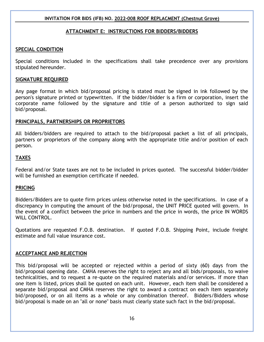## **ATTACHMENT E: INSTRUCTIONS FOR BIDDERS/BIDDERS**

## **SPECIAL CONDITION**

Special conditions included in the specifications shall take precedence over any provisions stipulated hereunder.

#### **SIGNATURE REQUIRED**

Any page format in which bid/proposal pricing is stated must be signed in ink followed by the person's signature printed or typewritten. If the bidder/bidder is a firm or corporation, insert the corporate name followed by the signature and title of a person authorized to sign said bid/proposal.

## **PRINCIPALS, PARTNERSHIPS OR PROPRIETORS**

All bidders/bidders are required to attach to the bid/proposal packet a list of all principals, partners or proprietors of the company along with the appropriate title and/or position of each person.

## **TAXES**

Federal and/or State taxes are not to be included in prices quoted. The successful bidder/bidder will be furnished an exemption certificate if needed.

## **PRICING**

Bidders/Bidders are to quote firm prices unless otherwise noted in the specifications. In case of a discrepancy in computing the amount of the bid/proposal, the UNIT PRICE quoted will govern. In the event of a conflict between the price in numbers and the price in words, the price IN WORDS WILL CONTROL.

Quotations are requested F.O.B. destination. If quoted F.O.B. Shipping Point, include freight estimate and full value insurance cost.

## **ACCEPTANCE AND REJECTION**

This bid/proposal will be accepted or rejected within a period of sixty (60) days from the bid/proposal opening date. CMHA reserves the right to reject any and all bids/proposals, to waive technicalities, and to request a re-quote on the required materials and/or services. If more than one item is listed, prices shall be quoted on each unit. However, each item shall be considered a separate bid/proposal and CMHA reserves the right to award a contract on each item separately bid/proposed, or on all items as a whole or any combination thereof. Bidders/Bidders whose bid/proposal is made on an "all or none" basis must clearly state such fact in the bid/proposal.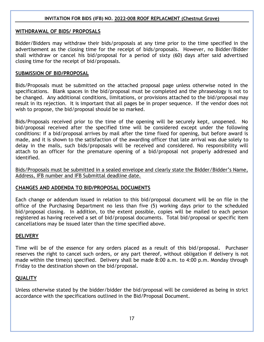## **WITHDRAWAL OF BIDS/ PROPOSALS**

Bidder/Bidders may withdraw their bids/proposals at any time prior to the time specified in the advertisement as the closing time for the receipt of bids/proposals. However, no Bidder/Bidder shall withdraw or cancel his bid/proposal for a period of sixty (60) days after said advertised closing time for the receipt of bid/proposals.

#### **SUBMISSION OF BID/PROPOSAL**

Bids/Proposals must be submitted on the attached proposal page unless otherwise noted in the specifications. Blank spaces in the bid/proposal must be completed and the phraseology is not to be changed. Any additional conditions, limitations, or provisions attached to the bid/proposal may result in its rejection. It is important that all pages be in proper sequence. If the vendor does not wish to propose, the bid/proposal should be so marked.

Bids/Proposals received prior to the time of the opening will be securely kept, unopened. No bid/proposal received after the specified time will be considered except under the following conditions: if a bid/proposal arrives by mail after the time fixed for opening, but before award is made, and it is shown to the satisfaction of the awarding officer that late arrival was due solely to delay in the mails, such bids/proposals will be received and considered. No responsibility will attach to an officer for the premature opening of a bid/proposal not properly addressed and identified.

Bids/Proposals must be submitted in a sealed envelope and clearly state the Bidder/Bidder's Name, Address, IFB number and IFB Submittal deadline date.

## **CHANGES AND ADDENDA TO BID/PROPOSAL DOCUMENTS**

Each change or addendum issued in relation to this bid/proposal document will be on file in the office of the Purchasing Department no less than five (5) working days prior to the scheduled bid/proposal closing. In addition, to the extent possible, copies will be mailed to each person registered as having received a set of bid/proposal documents. Total bid/proposal or specific item cancellations may be issued later than the time specified above.

## **DELIVERY**

Time will be of the essence for any orders placed as a result of this bid/proposal. Purchaser reserves the right to cancel such orders, or any part thereof, without obligation if delivery is not made within the time(s) specified. Delivery shall be made 8:00 a.m. to 4:00 p.m. Monday through Friday to the destination shown on the bid/proposal.

## **QUALITY**

Unless otherwise stated by the bidder/bidder the bid/proposal will be considered as being in strict accordance with the specifications outlined in the Bid/Proposal Document.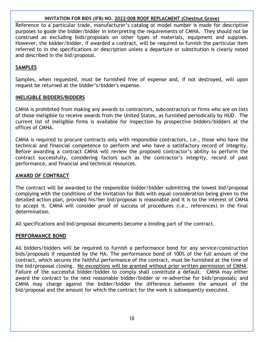Reference to a particular trade, manufacturer's catalog or model number is made for descriptive purposes to guide the bidder/bidder in interpreting the requirements of CMHA. They should not be construed as excluding bids/proposals on other types of materials, equipment and supplies. However, the bidder/bidder, if awarded a contract, will be required to furnish the particular item referred to in the specifications or description unless a departure or substitution is clearly noted and described in the bid/proposal.

## **SAMPLES**

Samples, when requested, must be furnished free of expense and, if not destroyed, will upon request be returned at the bidder's/bidder's expense.

## **INELIGIBLE BIDDERS/BIDDERS**

CMHA is prohibited from making any awards to contractors, subcontractors or firms who are on lists of those ineligible to receive awards from the United States, as furnished periodically by HUD. The current list of ineligible firms is available for inspection by prospective bidders/bidders at the offices of CMHA.

CMHA is required to procure contracts only with responsible contractors, i.e., those who have the technical and financial competence to perform and who have a satisfactory record of integrity. Before awarding a contract CMHA will review the proposed contractor's ability to perform the contract successfully, considering factors such as the contractor's integrity, record of past performance, and financial and technical resources.

## **AWARD OF CONTRACT**

The contract will be awarded to the responsible bidder/bidder submitting the lowest bid/proposal complying with the conditions of the Invitation for Bids with equal consideration being given to the detailed action plan, provided his/her bid/proposal is reasonable and it is to the interest of CMHA to accept it. CMHA will consider proof of success of procedures (i.e., references) in the final determination.

All specifications and bid/proposal documents become a binding part of the contract.

## **PERFORMANCE BOND**

All bidders/bidders will be required to furnish a performance bond for any service/construction bids/proposals if requested by the HA. The performance bond of 100% of the full amount of the contract, which secures the faithful performance of the contract, must be furnished at the time of the bid/proposal closing. No exceptions will be granted without prior written permission of CMHA. Failure of the successful bidder/bidder to comply shall constitute a default. CMHA may either award the contract to the next reasonable bidder/bidder or re-advertise for bids/proposals; and CMHA may charge against the bidder/bidder the difference between the amount of the bid/proposal and the amount for which the contract for the work is subsequently executed.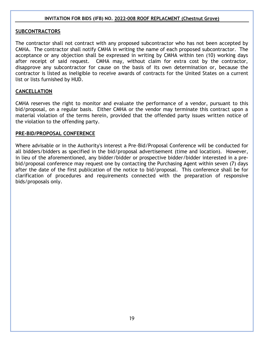## **SUBCONTRACTORS**

The contractor shall not contract with any proposed subcontractor who has not been accepted by CMHA. The contractor shall notify CMHA in writing the name of each proposed subcontractor. The acceptance or any objection shall be expressed in writing by CMHA within ten (10) working days after receipt of said request. CMHA may, without claim for extra cost by the contractor, disapprove any subcontractor for cause on the basis of its own determination or, because the contractor is listed as ineligible to receive awards of contracts for the United States on a current list or lists furnished by HUD.

## **CANCELLATION**

CMHA reserves the right to monitor and evaluate the performance of a vendor, pursuant to this bid/proposal, on a regular basis. Either CMHA or the vendor may terminate this contract upon a material violation of the terms herein, provided that the offended party issues written notice of the violation to the offending party.

## **PRE-BID/PROPOSAL CONFERENCE**

Where advisable or in the Authority's interest a Pre-Bid/Proposal Conference will be conducted for all bidders/bidders as specified in the bid/proposal advertisement (time and location). However, in lieu of the aforementioned, any bidder/bidder or prospective bidder/bidder interested in a prebid/proposal conference may request one by contacting the Purchasing Agent within seven (7) days after the date of the first publication of the notice to bid/proposal. This conference shall be for clarification of procedures and requirements connected with the preparation of responsive bids/proposals only.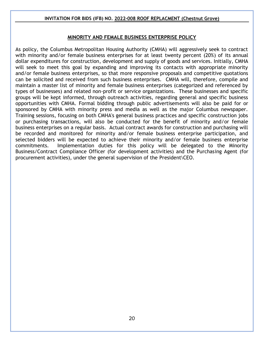## **MINORITY AND FEMALE BUSINESS ENTERPRISE POLICY**

As policy, the Columbus Metropolitan Housing Authority (CMHA) will aggressively seek to contract with minority and/or female business enterprises for at least twenty percent (20%) of its annual dollar expenditures for construction, development and supply of goods and services. Initially, CMHA will seek to meet this goal by expanding and improving its contacts with appropriate minority and/or female business enterprises, so that more responsive proposals and competitive quotations can be solicited and received from such business enterprises. CMHA will, therefore, compile and maintain a master list of minority and female business enterprises (categorized and referenced by types of businesses) and related non-profit or service organizations. These businesses and specific groups will be kept informed, through outreach activities, regarding general and specific business opportunities with CMHA. Formal bidding through public advertisements will also be paid for or sponsored by CMHA with minority press and media as well as the major Columbus newspaper. Training sessions, focusing on both CMHA's general business practices and specific construction jobs or purchasing transactions, will also be conducted for the benefit of minority and/or female business enterprises on a regular basis. Actual contract awards for construction and purchasing will be recorded and monitored for minority and/or female business enterprise participation, and selected bidders will be expected to achieve their minority and/or female business enterprise commitments. Implementation duties for this policy will be delegated to the Minority Business/Contract Compliance Officer (for development activities) and the Purchasing Agent (for procurement activities), under the general supervision of the President\CEO.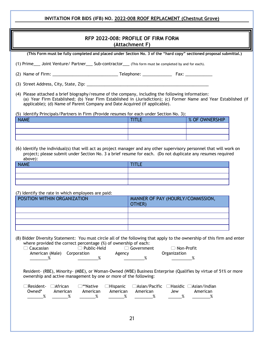|                                                                                                                                                                                                                                                                                                     | RFP 2022-008: PROFILE OF FIRM FORM<br>(Attachment F)          |                |
|-----------------------------------------------------------------------------------------------------------------------------------------------------------------------------------------------------------------------------------------------------------------------------------------------------|---------------------------------------------------------------|----------------|
| (This Form must be fully completed and placed under Section No. 3 of the "hard copy" sectioned proposal submittal.)                                                                                                                                                                                 |                                                               |                |
| (1) Prime____ Joint Venture/ Partner____ Sub-contractor____ (This form must be completed by and for each).                                                                                                                                                                                          |                                                               |                |
|                                                                                                                                                                                                                                                                                                     |                                                               |                |
|                                                                                                                                                                                                                                                                                                     |                                                               |                |
| (4) Please attached a brief biography/resume of the company, including the following information:<br>(a) Year Firm Established; (b) Year Firm Established in (Jurisdiction); (c) Former Name and Year Established (if<br>applicable); (d) Name of Parent Company and Date Acquired (if applicable). |                                                               |                |
| (5) Identify Principals/Partners in Firm (Provide resumes for each under Section No. 3):                                                                                                                                                                                                            |                                                               |                |
| <b>NAME</b>                                                                                                                                                                                                                                                                                         | <b>TITLE</b>                                                  | % OF OWNERSHIP |
|                                                                                                                                                                                                                                                                                                     |                                                               |                |
|                                                                                                                                                                                                                                                                                                     |                                                               |                |
| (6) Identify the individual(s) that will act as project manager and any other supervisory personnel that will work on<br>project; please submit under Section No. 3 a brief resume for each. (Do not duplicate any resumes required<br>above):                                                      |                                                               |                |
| <b>NAME</b>                                                                                                                                                                                                                                                                                         | <b>TITLE</b>                                                  |                |
|                                                                                                                                                                                                                                                                                                     |                                                               |                |
|                                                                                                                                                                                                                                                                                                     |                                                               |                |
|                                                                                                                                                                                                                                                                                                     |                                                               |                |
| (7) Identify the rate in which employees are paid:<br>POSITION WITHIN ORGANIZATION                                                                                                                                                                                                                  |                                                               |                |
|                                                                                                                                                                                                                                                                                                     | MANNER OF PAY (HOURLY/COMMISSION,<br>OTHER)                   |                |
|                                                                                                                                                                                                                                                                                                     |                                                               |                |
|                                                                                                                                                                                                                                                                                                     |                                                               |                |
|                                                                                                                                                                                                                                                                                                     |                                                               |                |
|                                                                                                                                                                                                                                                                                                     |                                                               |                |
| (8) Bidder Diversity Statement: You must circle all of the following that apply to the ownership of this firm and enter<br>where provided the correct percentage (%) of ownership of each:<br>□ Public-Held<br>$\Box$ Caucasian<br>American (Male)<br>Corporation<br>Agency<br>%                    | □ Government<br>□ Non-Profit<br>Organization<br>%             | %              |
| Resident- (RBE), Minority- (MBE), or Woman-Owned (WBE) Business Enterprise (Qualifies by virtue of 51% or more<br>ownership and active management by one or more of the following:                                                                                                                  |                                                               |                |
| $\Box$ Resident-<br>$\Box$ African<br>□**Native<br>$\Box$ Hispanic<br>Owned*<br>American<br>American<br>American<br>%<br>%<br>%                                                                                                                                                                     | □Asian/Pacific □Hasidic □Asian/Indian<br>American<br>Jew<br>% | American<br>%  |
|                                                                                                                                                                                                                                                                                                     |                                                               |                |
|                                                                                                                                                                                                                                                                                                     |                                                               |                |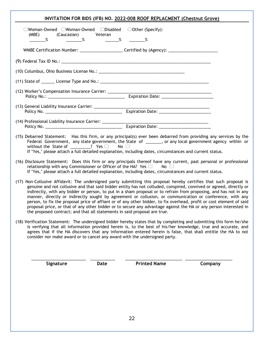| INVITATION FOR BIDS (IFB) NO. 2022-008 ROOF REPLACMENT (Chestnut Grove)                                                                                                                                                                                                                                                                                                                                                                                                                                                                                                                                                                                                                                                                                                                               |
|-------------------------------------------------------------------------------------------------------------------------------------------------------------------------------------------------------------------------------------------------------------------------------------------------------------------------------------------------------------------------------------------------------------------------------------------------------------------------------------------------------------------------------------------------------------------------------------------------------------------------------------------------------------------------------------------------------------------------------------------------------------------------------------------------------|
| $\Box$ Woman-Owned $\Box$ Woman-Owned $\Box$ Disabled $\Box$ Other (Specify):<br>(Caucasian) Veteran<br>(MBE)<br>$\sim$ $\frac{\%}{\%}$<br>%<br>%                                                                                                                                                                                                                                                                                                                                                                                                                                                                                                                                                                                                                                                     |
| WMBE Certification Number: ________________________Certified by (Agency): __________________________                                                                                                                                                                                                                                                                                                                                                                                                                                                                                                                                                                                                                                                                                                  |
|                                                                                                                                                                                                                                                                                                                                                                                                                                                                                                                                                                                                                                                                                                                                                                                                       |
|                                                                                                                                                                                                                                                                                                                                                                                                                                                                                                                                                                                                                                                                                                                                                                                                       |
|                                                                                                                                                                                                                                                                                                                                                                                                                                                                                                                                                                                                                                                                                                                                                                                                       |
|                                                                                                                                                                                                                                                                                                                                                                                                                                                                                                                                                                                                                                                                                                                                                                                                       |
|                                                                                                                                                                                                                                                                                                                                                                                                                                                                                                                                                                                                                                                                                                                                                                                                       |
|                                                                                                                                                                                                                                                                                                                                                                                                                                                                                                                                                                                                                                                                                                                                                                                                       |
| (15) Debarred Statement: Has this firm, or any principal(s) ever been debarred from providing any services by the<br>Federal Government, any state government, the State of ______, or any local government agency within or<br>without the State of ________? Yes □ No □<br>If "Yes," please attach a full detailed explanation, including dates, circumstances and current status.                                                                                                                                                                                                                                                                                                                                                                                                                  |
| (16) Disclosure Statement: Does this firm or any principals thereof have any current, past personal or professional<br>relationship with any Commissioner or Officer of the HA? Yes $\Box$<br>No $\Box$<br>If "Yes," please attach a full detailed explanation, including dates, circumstances and current status.                                                                                                                                                                                                                                                                                                                                                                                                                                                                                    |
| (17) Non-Collusive Affidavit: The undersigned party submitting this proposal hereby certifies that such proposal is<br>genuine and not collusive and that said bidder entity has not colluded, conspired, connived or agreed, directly or<br>indirectly, with any bidder or person, to put in a sham proposal or to refrain from proposing, and has not in any<br>manner, directly or indirectly sought by agreement or collusion, or communication or conference, with any<br>person, to fix the proposal price of affiant or of any other bidder, to fix overhead, profit or cost element of said<br>proposal price, or that of any other bidder or to secure any advantage against the HA or any person interested in<br>the proposed contract; and that all statements in said proposal are true. |
| (18) Verification Statement: The undersigned bidder hereby states that by completing and submitting this form he/she<br>is verifying that all information provided herein is, to the best of his/her knowledge, true and accurate, and<br>agrees that if the HA discovers that any information entered herein is false, that shall entitle the HA to not<br>consider nor make award or to cancel any award with the undersigned party.                                                                                                                                                                                                                                                                                                                                                                |
|                                                                                                                                                                                                                                                                                                                                                                                                                                                                                                                                                                                                                                                                                                                                                                                                       |
| <b>Printed Name</b><br>Company<br>Signature<br><b>Date</b>                                                                                                                                                                                                                                                                                                                                                                                                                                                                                                                                                                                                                                                                                                                                            |
|                                                                                                                                                                                                                                                                                                                                                                                                                                                                                                                                                                                                                                                                                                                                                                                                       |